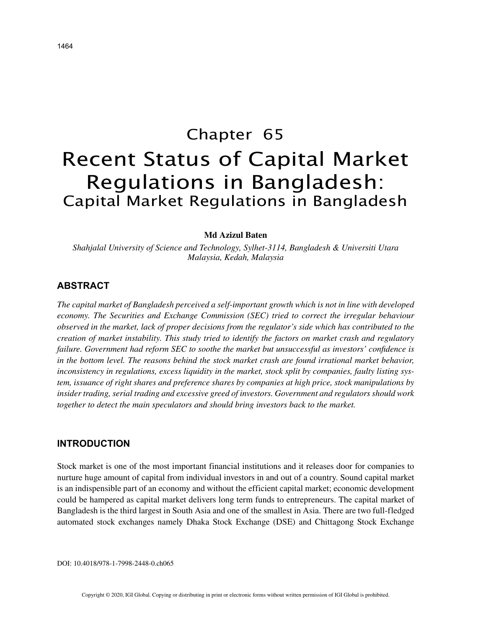# Chapter 65 Recent Status of Capital Market Regulations in Bangladesh: Capital Market Regulations in Bangladesh

## **Md Azizul Baten**

*Shahjalal University of Science and Technology, Sylhet-3114, Bangladesh & Universiti Utara Malaysia, Kedah, Malaysia*

## **ABSTRACT**

*The capital market of Bangladesh perceived a self-important growth which is not in line with developed economy. The Securities and Exchange Commission (SEC) tried to correct the irregular behaviour observed in the market, lack of proper decisions from the regulator's side which has contributed to the creation of market instability. This study tried to identify the factors on market crash and regulatory failure. Government had reform SEC to soothe the market but unsuccessful as investors' confidence is in the bottom level. The reasons behind the stock market crash are found irrational market behavior, inconsistency in regulations, excess liquidity in the market, stock split by companies, faulty listing system, issuance of right shares and preference shares by companies at high price, stock manipulations by insider trading, serial trading and excessive greed of investors. Government and regulators should work together to detect the main speculators and should bring investors back to the market.*

### **INTRODUCTION**

Stock market is one of the most important financial institutions and it releases door for companies to nurture huge amount of capital from individual investors in and out of a country. Sound capital market is an indispensible part of an economy and without the efficient capital market; economic development could be hampered as capital market delivers long term funds to entrepreneurs. The capital market of Bangladesh is the third largest in South Asia and one of the smallest in Asia. There are two full-fledged automated stock exchanges namely Dhaka Stock Exchange (DSE) and Chittagong Stock Exchange

DOI: 10.4018/978-1-7998-2448-0.ch065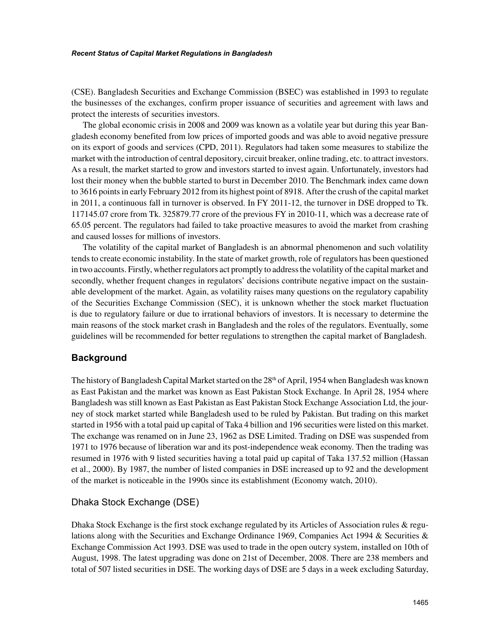#### *Recent Status of Capital Market Regulations in Bangladesh*

(CSE). Bangladesh Securities and Exchange Commission (BSEC) was established in 1993 to regulate the businesses of the exchanges, confirm proper issuance of securities and agreement with laws and protect the interests of securities investors.

The global economic crisis in 2008 and 2009 was known as a volatile year but during this year Bangladesh economy benefited from low prices of imported goods and was able to avoid negative pressure on its export of goods and services (CPD, 2011). Regulators had taken some measures to stabilize the market with the introduction of central depository, circuit breaker, online trading, etc. to attract investors. As a result, the market started to grow and investors started to invest again. Unfortunately, investors had lost their money when the bubble started to burst in December 2010. The Benchmark index came down to 3616 points in early February 2012 from its highest point of 8918. After the crush of the capital market in 2011, a continuous fall in turnover is observed. In FY 2011-12, the turnover in DSE dropped to Tk. 117145.07 crore from Tk. 325879.77 crore of the previous FY in 2010-11, which was a decrease rate of 65.05 percent. The regulators had failed to take proactive measures to avoid the market from crashing and caused losses for millions of investors.

The volatility of the capital market of Bangladesh is an abnormal phenomenon and such volatility tends to create economic instability. In the state of market growth, role of regulators has been questioned in two accounts. Firstly, whether regulators act promptly to address the volatility of the capital market and secondly, whether frequent changes in regulators' decisions contribute negative impact on the sustainable development of the market. Again, as volatility raises many questions on the regulatory capability of the Securities Exchange Commission (SEC), it is unknown whether the stock market fluctuation is due to regulatory failure or due to irrational behaviors of investors. It is necessary to determine the main reasons of the stock market crash in Bangladesh and the roles of the regulators. Eventually, some guidelines will be recommended for better regulations to strengthen the capital market of Bangladesh.

# **Background**

The history of Bangladesh Capital Market started on the 28<sup>th</sup> of April, 1954 when Bangladesh was known as East Pakistan and the market was known as East Pakistan Stock Exchange. In April 28, 1954 where Bangladesh was still known as East Pakistan as East Pakistan Stock Exchange Association Ltd, the journey of stock market started while Bangladesh used to be ruled by Pakistan. But trading on this market started in 1956 with a total paid up capital of Taka 4 billion and 196 securities were listed on this market. The exchange was renamed on in June 23, 1962 as DSE Limited. Trading on DSE was suspended from 1971 to 1976 because of liberation war and its post-independence weak economy. Then the trading was resumed in 1976 with 9 listed securities having a total paid up capital of Taka 137.52 million (Hassan et al., 2000). By 1987, the number of listed companies in DSE increased up to 92 and the development of the market is noticeable in the 1990s since its establishment (Economy watch, 2010).

# Dhaka Stock Exchange (DSE)

Dhaka Stock Exchange is the first stock exchange regulated by its Articles of Association rules & regulations along with the Securities and Exchange Ordinance 1969, Companies Act 1994 & Securities & Exchange Commission Act 1993. DSE was used to trade in the open outcry system, installed on 10th of August, 1998. The latest upgrading was done on 21st of December, 2008. There are 238 members and total of 507 listed securities in DSE. The working days of DSE are 5 days in a week excluding Saturday,